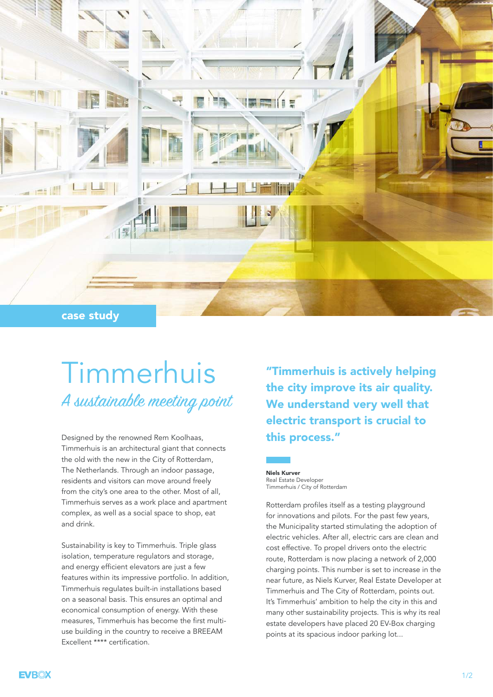

## Timmerhuis A sustainable meeting point

Designed by the renowned Rem Koolhaas, Timmerhuis is an architectural giant that connects the old with the new in the City of Rotterdam, The Netherlands. Through an indoor passage, residents and visitors can move around freely from the city's one area to the other. Most of all, Timmerhuis serves as a work place and apartment complex, as well as a social space to shop, eat and drink.

Sustainability is key to Timmerhuis. Triple glass isolation, temperature regulators and storage, and energy efficient elevators are just a few features within its impressive portfolio. In addition, Timmerhuis regulates built-in installations based on a seasonal basis. This ensures an optimal and economical consumption of energy. With these measures, Timmerhuis has become the first multiuse building in the country to receive a BREEAM Excellent \*\*\*\* certification.

"Timmerhuis is actively helping the city improve its air quality. We understand very well that electric transport is crucial to this process."

Niels Kurver Real Estate Developer Timmerhuis / City of Rotterdam

Rotterdam profiles itself as a testing playground for innovations and pilots. For the past few years, the Municipality started stimulating the adoption of electric vehicles. After all, electric cars are clean and cost effective. To propel drivers onto the electric route, Rotterdam is now placing a network of 2,000 charging points. This number is set to increase in the near future, as Niels Kurver, Real Estate Developer at Timmerhuis and The City of Rotterdam, points out. It's Timmerhuis' ambition to help the city in this and many other sustainability projects. This is why its real estate developers have placed 20 EV-Box charging points at its spacious indoor parking lot...